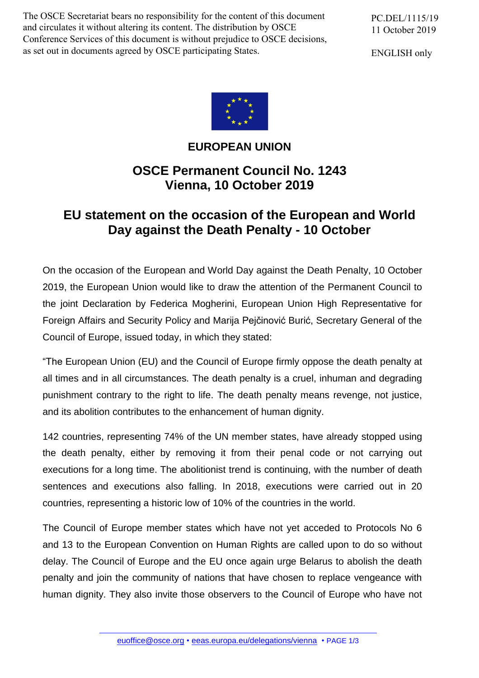The OSCE Secretariat bears no responsibility for the content of this document and circulates it without altering its content. The distribution by OSCE Conference Services of this document is without prejudice to OSCE decisions, as set out in documents agreed by OSCE participating States.

PC.DEL/1115/19 11 October 2019

ENGLISH only



## **EUROPEAN UNION**

## **OSCE Permanent Council No. 1243 Vienna, 10 October 2019**

## **EU statement on the occasion of the European and World Day against the Death Penalty - 10 October**

On the occasion of the European and World Day against the Death Penalty, 10 October 2019, the European Union would like to draw the attention of the Permanent Council to the joint Declaration by Federica Mogherini, European Union High Representative for Foreign Affairs and Security Policy and [Marija Pejčinović Burić,](https://twitter.com/MarijaPBuric) Secretary General of the Council of Europe, issued today, in which they stated:

"The European Union (EU) and the Council of Europe firmly oppose the death penalty at all times and in all circumstances. The death penalty is a cruel, inhuman and degrading punishment contrary to the right to life. The death penalty means revenge, not justice, and its abolition contributes to the enhancement of human dignity.

142 countries, representing 74% of the UN member states, have already stopped using the death penalty, either by removing it from their penal code or not carrying out executions for a long time. The abolitionist trend is continuing, with the number of death sentences and executions also falling. In 2018, executions were carried out in 20 countries, representing a historic low of 10% of the countries in the world.

The Council of Europe member states which have not yet acceded to Protocols No 6 and 13 to the European Convention on Human Rights are called upon to do so without delay. The Council of Europe and the EU once again urge Belarus to abolish the death penalty and join the community of nations that have chosen to replace vengeance with human dignity. They also invite those observers to the Council of Europe who have not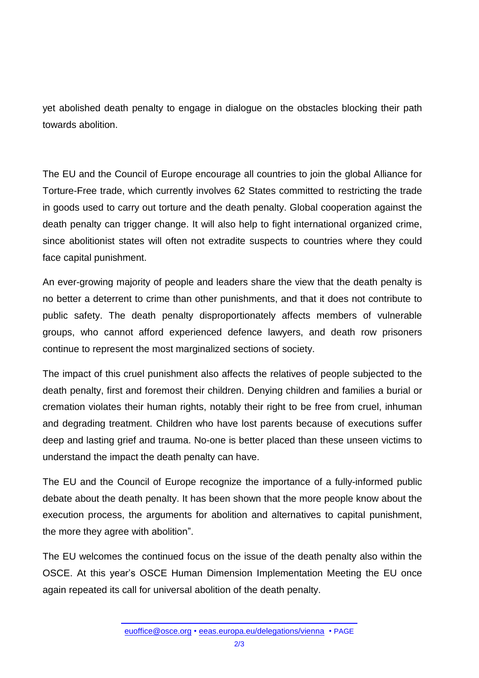yet abolished death penalty to engage in dialogue on the obstacles blocking their path towards abolition.

The EU and the Council of Europe encourage all countries to join the global Alliance for Torture-Free trade, which currently involves 62 States committed to restricting the trade in goods used to carry out torture and the death penalty. Global cooperation against the death penalty can trigger change. It will also help to fight international organized crime, since abolitionist states will often not extradite suspects to countries where they could face capital punishment.

An ever-growing majority of people and leaders share the view that the death penalty is no better a deterrent to crime than other punishments, and that it does not contribute to public safety. The death penalty disproportionately affects members of vulnerable groups, who cannot afford experienced defence lawyers, and death row prisoners continue to represent the most marginalized sections of society.

The impact of this cruel punishment also affects the relatives of people subjected to the death penalty, first and foremost their children. Denying children and families a burial or cremation violates their human rights, notably their right to be free from cruel, inhuman and degrading treatment. Children who have lost parents because of executions suffer deep and lasting grief and trauma. No-one is better placed than these unseen victims to understand the impact the death penalty can have.

The EU and the Council of Europe recognize the importance of a fully-informed public debate about the death penalty. It has been shown that the more people know about the execution process, the arguments for abolition and alternatives to capital punishment, the more they agree with abolition".

The EU welcomes the continued focus on the issue of the death penalty also within the OSCE. At this year's OSCE Human Dimension Implementation Meeting the EU once again repeated its call for universal abolition of the death penalty.